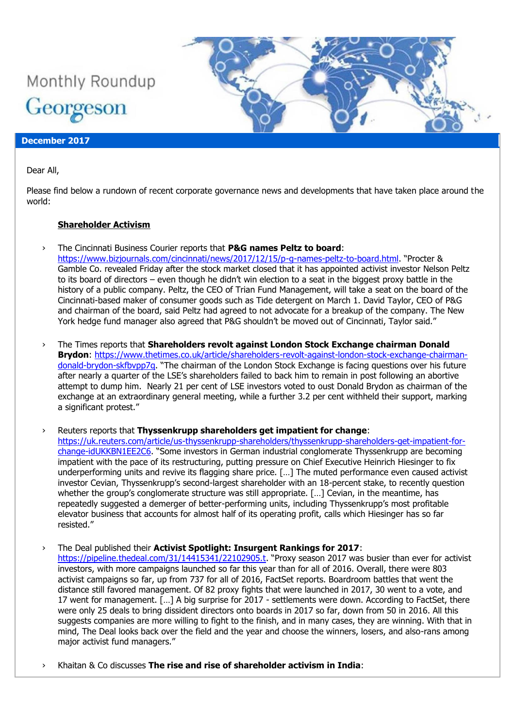# Monthly Roundup Georgeson

#### **December 2017**

Dear All,

Please find below a rundown of recent corporate governance news and developments that have taken place around the world:

#### **Shareholder Activism**

- › The Cincinnati Business Courier reports that **P&G names Peltz to board**: <https://www.bizjournals.com/cincinnati/news/2017/12/15/p-g-names-peltz-to-board.html>. "Procter & Gamble Co. revealed Friday after the stock market closed that it has appointed activist investor Nelson Peltz to its board of directors – even though he didn't win election to a seat in the biggest proxy battle in the history of a public company. Peltz, the CEO of Trian Fund Management, will take a seat on the board of the Cincinnati-based maker of consumer goods such as Tide detergent on March 1. David Taylor, CEO of P&G and chairman of the board, said Peltz had agreed to not advocate for a breakup of the company. The New York hedge fund manager also agreed that P&G shouldn't be moved out of Cincinnati, Taylor said."
- › The Times reports that **Shareholders revolt against London Stock Exchange chairman Donald Brydon**: [https://www.thetimes.co.uk/article/shareholders-revolt-against-london-stock-exchange-chairman](https://www.thetimes.co.uk/article/shareholders-revolt-against-london-stock-exchange-chairman-donald-brydon-skfbvpp7q)[donald-brydon-skfbvpp7q](https://www.thetimes.co.uk/article/shareholders-revolt-against-london-stock-exchange-chairman-donald-brydon-skfbvpp7q). "The chairman of the London Stock Exchange is facing questions over his future after nearly a quarter of the LSE's shareholders failed to back him to remain in post following an abortive attempt to dump him. Nearly 21 per cent of LSE investors voted to oust Donald Brydon as chairman of the exchange at an extraordinary general meeting, while a further 3.2 per cent withheld their support, marking a significant protest."
- › Reuters reports that **Thyssenkrupp shareholders get impatient for change**: [https://uk.reuters.com/article/us-thyssenkrupp-shareholders/thyssenkrupp-shareholders-get-impatient-for](https://uk.reuters.com/article/us-thyssenkrupp-shareholders/thyssenkrupp-shareholders-get-impatient-for-change-idUKKBN1EE2C6)[change-idUKKBN1EE2C6](https://uk.reuters.com/article/us-thyssenkrupp-shareholders/thyssenkrupp-shareholders-get-impatient-for-change-idUKKBN1EE2C6). "Some investors in German industrial conglomerate Thyssenkrupp are becoming impatient with the pace of its restructuring, putting pressure on Chief Executive Heinrich Hiesinger to fix underperforming units and revive its flagging share price. […] The muted performance even caused activist investor Cevian, Thyssenkrupp's second-largest shareholder with an 18-percent stake, to recently question whether the group's conglomerate structure was still appropriate. […] Cevian, in the meantime, has repeatedly suggested a demerger of better-performing units, including Thyssenkrupp's most profitable elevator business that accounts for almost half of its operating profit, calls which Hiesinger has so far resisted."
- › The Deal published their **Activist Spotlight: Insurgent Rankings for 2017**: <https://pipeline.thedeal.com/31/14415341/22102905.t>. "Proxy season 2017 was busier than ever for activist investors, with more campaigns launched so far this year than for all of 2016. Overall, there were 803 activist campaigns so far, up from 737 for all of 2016, FactSet reports. Boardroom battles that went the distance still favored management. Of 82 proxy fights that were launched in 2017, 30 went to a vote, and 17 went for management. […] A big surprise for 2017 - settlements were down. According to FactSet, there were only 25 deals to bring dissident directors onto boards in 2017 so far, down from 50 in 2016. All this suggests companies are more willing to fight to the finish, and in many cases, they are winning. With that in mind, The Deal looks back over the field and the year and choose the winners, losers, and also-rans among major activist fund managers."
- › Khaitan & Co discusses **The rise and rise of shareholder activism in India**: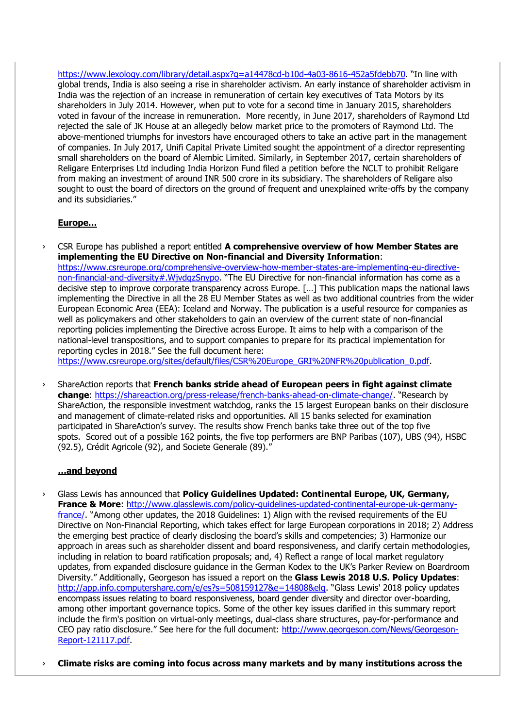<https://www.lexology.com/library/detail.aspx?g=a14478cd-b10d-4a03-8616-452a5fdebb70>. "In line with global trends, India is also seeing a rise in shareholder activism. An early instance of shareholder activism in India was the rejection of an increase in remuneration of certain key executives of Tata Motors by its shareholders in July 2014. However, when put to vote for a second time in January 2015, shareholders voted in favour of the increase in remuneration. More recently, in June 2017, shareholders of Raymond Ltd rejected the sale of JK House at an allegedly below market price to the promoters of Raymond Ltd. The above-mentioned triumphs for investors have encouraged others to take an active part in the management of companies. In July 2017, Unifi Capital Private Limited sought the appointment of a director representing small shareholders on the board of Alembic Limited. Similarly, in September 2017, certain shareholders of Religare Enterprises Ltd including India Horizon Fund filed a petition before the NCLT to prohibit Religare from making an investment of around INR 500 crore in its subsidiary. The shareholders of Religare also sought to oust the board of directors on the ground of frequent and unexplained write-offs by the company and its subsidiaries."

### **Europe…**

CSR Europe has published a report entitled **A comprehensive overview of how Member States are implementing the EU Directive on Non-financial and Diversity Information**: [https://www.csreurope.org/comprehensive-overview-how-member-states-are-implementing-eu-directive](https://www.csreurope.org/comprehensive-overview-how-member-states-are-implementing-eu-directive-non-financial-and-diversity#.WjvdqzSnypo)[non-financial-and-diversity#.WjvdqzSnypo](https://www.csreurope.org/comprehensive-overview-how-member-states-are-implementing-eu-directive-non-financial-and-diversity#.WjvdqzSnypo). "The EU Directive for non-financial information has come as a decisive step to improve corporate transparency across Europe. […] This publication maps the national laws implementing the Directive in all the 28 EU Member States as well as two additional countries from the wider European Economic Area (EEA): Iceland and Norway. The publication is a useful resource for companies as well as policymakers and other stakeholders to gain an overview of the current state of non-financial reporting policies implementing the Directive across Europe. It aims to help with a comparison of the national-level transpositions, and to support companies to prepare for its practical implementation for reporting cycles in 2018." See the full document here: [https://www.csreurope.org/sites/default/files/CSR%20Europe\\_GRI%20NFR%20publication\\_0.pdf.](https://www.csreurope.org/sites/default/files/CSR%20Europe_GRI%20NFR%20publication_0.pdf)

› ShareAction reports that **French banks stride ahead of European peers in fight against climate change**:<https://shareaction.org/press-release/french-banks-ahead-on-climate-change/>. "Research by ShareAction, the responsible investment watchdog, ranks the 15 largest European banks on their disclosure and management of climate-related risks and opportunities. All 15 banks selected for examination participated in ShareAction's survey. The results show French banks take three out of the top five spots. Scored out of a possible 162 points, the five top performers are BNP Paribas (107), UBS (94), HSBC (92.5), Crédit Agricole (92), and Societe Generale (89)."

#### **…and beyond**

- › Glass Lewis has announced that **Policy Guidelines Updated: Continental Europe, UK, Germany, France & More**: [http://www.glasslewis.com/policy-guidelines-updated-continental-europe-uk-germany](http://www.glasslewis.com/policy-guidelines-updated-continental-europe-uk-germany-france/)[france/](http://www.glasslewis.com/policy-guidelines-updated-continental-europe-uk-germany-france/). "Among other updates, the 2018 Guidelines: 1) Align with the revised requirements of the EU Directive on Non-Financial Reporting, which takes effect for large European corporations in 2018; 2) Address the emerging best practice of clearly disclosing the board's skills and competencies; 3) Harmonize our approach in areas such as shareholder dissent and board responsiveness, and clarify certain methodologies, including in relation to board ratification proposals; and, 4) Reflect a range of local market regulatory updates, from expanded disclosure guidance in the German Kodex to the UK's Parker Review on Boardroom Diversity." Additionally, Georgeson has issued a report on the **Glass Lewis 2018 U.S. Policy Updates**: [http://app.info.computershare.com/e/es?s=508159127&e=14808&elq.](http://app.info.computershare.com/e/es?s=508159127&e=14808&elq) "Glass Lewis' 2018 policy updates encompass issues relating to board responsiveness, board gender diversity and director over-boarding, among other important governance topics. Some of the other key issues clarified in this summary report include the firm's position on virtual-only meetings, dual-class share structures, pay-for-performance and CEO pay ratio disclosure." See here for the full document: [http://www.georgeson.com/News/Georgeson-](http://www.georgeson.com/News/Georgeson-Report-121117.pdf)[Report-121117.pdf.](http://www.georgeson.com/News/Georgeson-Report-121117.pdf)
- › **Climate risks are coming into focus across many markets and by many institutions across the**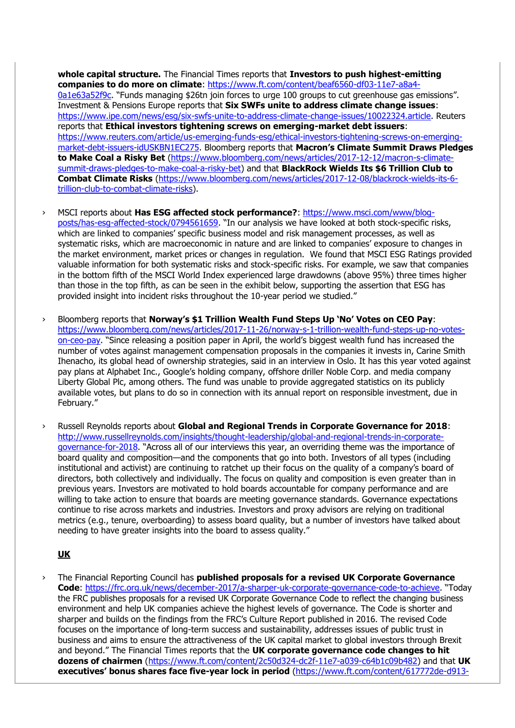**whole capital structure.** The Financial Times reports that **Investors to push highest-emitting companies to do more on climate**: [https://www.ft.com/content/beaf6560-df03-11e7-a8a4-](https://www.ft.com/content/beaf6560-df03-11e7-a8a4-0a1e63a52f9c) [0a1e63a52f9c](https://www.ft.com/content/beaf6560-df03-11e7-a8a4-0a1e63a52f9c). "Funds managing \$26tn join forces to urge 100 groups to cut greenhouse gas emissions". Investment & Pensions Europe reports that **Six SWFs unite to address climate change issues**: [https://www.ipe.com/news/esg/six-swfs-unite-to-address-climate-change-issues/10022324.article.](https://www.ipe.com/news/esg/six-swfs-unite-to-address-climate-change-issues/10022324.article) Reuters reports that **Ethical investors tightening screws on emerging-market debt issuers**: [https://www.reuters.com/article/us-emerging-funds-esg/ethical-investors-tightening-screws-on-emerging](https://www.reuters.com/article/us-emerging-funds-esg/ethical-investors-tightening-screws-on-emerging-market-debt-issuers-idUSKBN1EC275)[market-debt-issuers-idUSKBN1EC275.](https://www.reuters.com/article/us-emerging-funds-esg/ethical-investors-tightening-screws-on-emerging-market-debt-issuers-idUSKBN1EC275) Bloomberg reports that **Macron's Climate Summit Draws Pledges to Make Coal a Risky Bet** [\(https://www.bloomberg.com/news/articles/2017-12-12/macron-s-climate](https://www.bloomberg.com/news/articles/2017-12-12/macron-s-climate-summit-draws-pledges-to-make-coal-a-risky-bet)[summit-draws-pledges-to-make-coal-a-risky-bet\)](https://www.bloomberg.com/news/articles/2017-12-12/macron-s-climate-summit-draws-pledges-to-make-coal-a-risky-bet) and that **BlackRock Wields Its \$6 Trillion Club to Combat Climate Risks** [\(https://www.bloomberg.com/news/articles/2017-12-08/blackrock-wields-its-6](https://www.bloomberg.com/news/articles/2017-12-08/blackrock-wields-its-6-trillion-club-to-combat-climate-risks) [trillion-club-to-combat-climate-risks\)](https://www.bloomberg.com/news/articles/2017-12-08/blackrock-wields-its-6-trillion-club-to-combat-climate-risks).

- › MSCI reports about **Has ESG affected stock performance?**: [https://www.msci.com/www/blog](https://www.msci.com/www/blog-posts/has-esg-affected-stock/0794561659)[posts/has-esg-affected-stock/0794561659](https://www.msci.com/www/blog-posts/has-esg-affected-stock/0794561659). "In our analysis we have looked at both stock-specific risks, which are linked to companies' specific business model and risk management processes, as well as systematic risks, which are macroeconomic in nature and are linked to companies' exposure to changes in the market environment, market prices or changes in regulation. We found that MSCI ESG Ratings provided valuable information for both systematic risks and stock-specific risks. For example, we saw that companies in the bottom fifth of the MSCI World Index experienced large drawdowns (above 95%) three times higher than those in the top fifth, as can be seen in the exhibit below, supporting the assertion that ESG has provided insight into incident risks throughout the 10-year period we studied."
- › Bloomberg reports that **Norway's \$1 Trillion Wealth Fund Steps Up 'No' Votes on CEO Pay**: [https://www.bloomberg.com/news/articles/2017-11-26/norway-s-1-trillion-wealth-fund-steps-up-no-votes](https://www.bloomberg.com/news/articles/2017-11-26/norway-s-1-trillion-wealth-fund-steps-up-no-votes-on-ceo-pay)[on-ceo-pay](https://www.bloomberg.com/news/articles/2017-11-26/norway-s-1-trillion-wealth-fund-steps-up-no-votes-on-ceo-pay). "Since releasing a position paper in April, the world's biggest wealth fund has increased the number of votes against management compensation proposals in the companies it invests in, Carine Smith Ihenacho, its global head of ownership strategies, said in an interview in Oslo. It has this year voted against pay plans at Alphabet Inc., Google's holding company, offshore driller Noble Corp. and media company Liberty Global Plc, among others. The fund was unable to provide aggregated statistics on its publicly available votes, but plans to do so in connection with its annual report on responsible investment, due in February."
- › Russell Reynolds reports about **Global and Regional Trends in Corporate Governance for 2018**: [http://www.russellreynolds.com/insights/thought-leadership/global-and-regional-trends-in-corporate](http://www.russellreynolds.com/insights/thought-leadership/global-and-regional-trends-in-corporate-governance-for-2018)[governance-for-2018.](http://www.russellreynolds.com/insights/thought-leadership/global-and-regional-trends-in-corporate-governance-for-2018) "Across all of our interviews this year, an overriding theme was the importance of board quality and composition—and the components that go into both. Investors of all types (including institutional and activist) are continuing to ratchet up their focus on the quality of a company's board of directors, both collectively and individually. The focus on quality and composition is even greater than in previous years. Investors are motivated to hold boards accountable for company performance and are willing to take action to ensure that boards are meeting governance standards. Governance expectations continue to rise across markets and industries. Investors and proxy advisors are relying on traditional metrics (e.g., tenure, overboarding) to assess board quality, but a number of investors have talked about needing to have greater insights into the board to assess quality."

#### **UK**

› The Financial Reporting Council has **published proposals for a revised UK Corporate Governance Code**:<https://frc.org.uk/news/december-2017/a-sharper-uk-corporate-governance-code-to-achieve>. "Today the FRC publishes proposals for a revised UK Corporate Governance Code to reflect the changing business environment and help UK companies achieve the highest levels of governance. The Code is shorter and sharper and builds on the findings from the FRC's Culture Report published in 2016. The revised Code focuses on the importance of long-term success and sustainability, addresses issues of public trust in business and aims to ensure the attractiveness of the UK capital market to global investors through Brexit and beyond." The Financial Times reports that the **UK corporate governance code changes to hit dozens of chairmen** [\(https://www.ft.com/content/2c50d324-dc2f-11e7-a039-c64b1c09b482\)](https://www.ft.com/content/2c50d324-dc2f-11e7-a039-c64b1c09b482) and that **UK executives' bonus shares face five-year lock in period** [\(https://www.ft.com/content/617772de-d913-](https://www.ft.com/content/617772de-d913-11e7-a039-c64b1c09b482)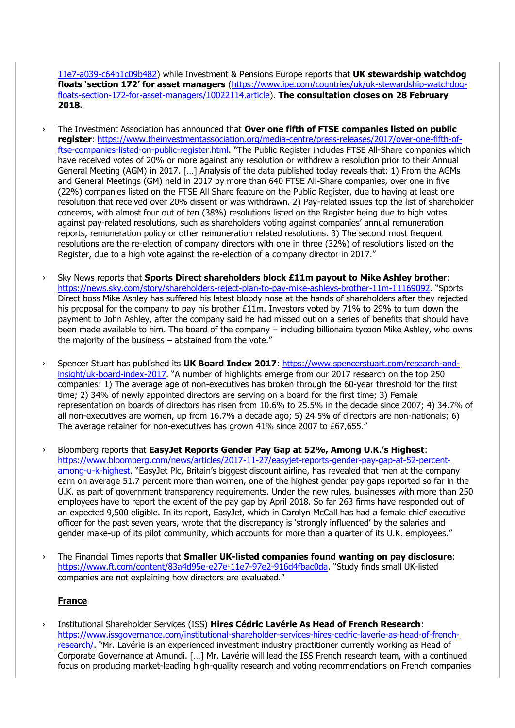[11e7-a039-c64b1c09b482\)](https://www.ft.com/content/617772de-d913-11e7-a039-c64b1c09b482) while Investment & Pensions Europe reports that **UK stewardship watchdog floats 'section 172' for asset managers** [\(https://www.ipe.com/countries/uk/uk-stewardship-watchdog](https://www.ipe.com/countries/uk/uk-stewardship-watchdog-floats-section-172-for-asset-managers/10022114.article)[floats-section-172-for-asset-managers/10022114.article\)](https://www.ipe.com/countries/uk/uk-stewardship-watchdog-floats-section-172-for-asset-managers/10022114.article). **The consultation closes on 28 February 2018.**

- › The Investment Association has announced that **Over one fifth of FTSE companies listed on public register**: [https://www.theinvestmentassociation.org/media-centre/press-releases/2017/over-one-fifth-of](https://www.theinvestmentassociation.org/media-centre/press-releases/2017/over-one-fifth-of-ftse-companies-listed-on-public-register.html)[ftse-companies-listed-on-public-register.html](https://www.theinvestmentassociation.org/media-centre/press-releases/2017/over-one-fifth-of-ftse-companies-listed-on-public-register.html). "The Public Register includes FTSE All-Share companies which have received votes of 20% or more against any resolution or withdrew a resolution prior to their Annual General Meeting (AGM) in 2017. […] Analysis of the data published today reveals that: 1) From the AGMs and General Meetings (GM) held in 2017 by more than 640 FTSE All-Share companies, over one in five (22%) companies listed on the FTSE All Share feature on the Public Register, due to having at least one resolution that received over 20% dissent or was withdrawn. 2) Pay-related issues top the list of shareholder concerns, with almost four out of ten (38%) resolutions listed on the Register being due to high votes against pay-related resolutions, such as shareholders voting against companies' annual remuneration reports, remuneration policy or other remuneration related resolutions. 3) The second most frequent resolutions are the re-election of company directors with one in three (32%) of resolutions listed on the Register, due to a high vote against the re-election of a company director in 2017."
- › Sky News reports that **Sports Direct shareholders block £11m payout to Mike Ashley brother**: <https://news.sky.com/story/shareholders-reject-plan-to-pay-mike-ashleys-brother-11m-11169092>. "Sports Direct boss Mike Ashley has suffered his latest bloody nose at the hands of shareholders after they rejected his proposal for the company to pay his brother £11m. Investors voted by 71% to 29% to turn down the payment to John Ashley, after the company said he had missed out on a series of benefits that should have been made available to him. The board of the company – including billionaire tycoon Mike Ashley, who owns the majority of the business – abstained from the vote."
- › Spencer Stuart has published its **UK Board Index 2017**: [https://www.spencerstuart.com/research-and](https://www.spencerstuart.com/research-and-insight/uk-board-index-2017)[insight/uk-board-index-2017](https://www.spencerstuart.com/research-and-insight/uk-board-index-2017). "A number of highlights emerge from our 2017 research on the top 250 companies: 1) The average age of non-executives has broken through the 60-year threshold for the first time; 2) 34% of newly appointed directors are serving on a board for the first time; 3) Female representation on boards of directors has risen from 10.6% to 25.5% in the decade since 2007; 4) 34.7% of all non-executives are women, up from 16.7% a decade ago; 5) 24.5% of directors are non-nationals; 6) The average retainer for non-executives has grown 41% since 2007 to £67,655."
- › Bloomberg reports that **EasyJet Reports Gender Pay Gap at 52%, Among U.K.'s Highest**: [https://www.bloomberg.com/news/articles/2017-11-27/easyjet-reports-gender-pay-gap-at-52-percent](https://www.bloomberg.com/news/articles/2017-11-27/easyjet-reports-gender-pay-gap-at-52-percent-among-u-k-highest)[among-u-k-highest](https://www.bloomberg.com/news/articles/2017-11-27/easyjet-reports-gender-pay-gap-at-52-percent-among-u-k-highest). "EasyJet Plc, Britain's biggest discount airline, has revealed that men at the company earn on average 51.7 percent more than women, one of the highest gender pay gaps reported so far in the U.K. as part of government transparency requirements. Under the new rules, businesses with more than 250 employees have to report the extent of the pay gap by April 2018. So far 263 firms have responded out of an expected 9,500 eligible. In its report, EasyJet, which in Carolyn McCall has had a female chief executive officer for the past seven years, wrote that the discrepancy is 'strongly influenced' by the salaries and gender make-up of its pilot community, which accounts for more than a quarter of its U.K. employees."
- › The Financial Times reports that **Smaller UK-listed companies found wanting on pay disclosure**: <https://www.ft.com/content/83a4d95e-e27e-11e7-97e2-916d4fbac0da>. "Study finds small UK-listed companies are not explaining how directors are evaluated."

# **France**

› Institutional Shareholder Services (ISS) **Hires Cédric Lavérie As Head of French Research**: [https://www.issgovernance.com/institutional-shareholder-services-hires-cedric-laverie-as-head-of-french](https://www.issgovernance.com/institutional-shareholder-services-hires-cedric-laverie-as-head-of-french-research/)[research/](https://www.issgovernance.com/institutional-shareholder-services-hires-cedric-laverie-as-head-of-french-research/). "Mr. Lavérie is an experienced investment industry practitioner currently working as Head of Corporate Governance at Amundi. […] Mr. Lavérie will lead the ISS French research team, with a continued focus on producing market-leading high-quality research and voting recommendations on French companies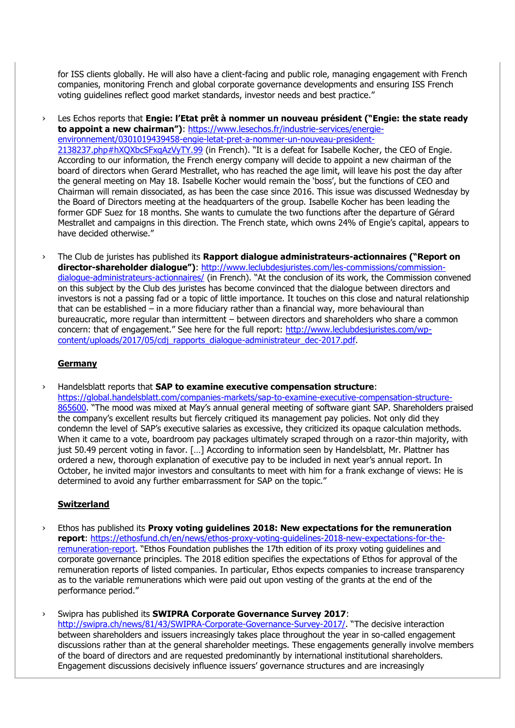for ISS clients globally. He will also have a client-facing and public role, managing engagement with French companies, monitoring French and global corporate governance developments and ensuring ISS French voting guidelines reflect good market standards, investor needs and best practice."

Les Echos reports that **Engie: l'Etat prêt à nommer un nouveau président ("Engie: the state ready to appoint a new chairman")**: [https://www.lesechos.fr/industrie-services/energie](https://www.lesechos.fr/industrie-services/energie-environnement/0301019439458-engie-letat-pret-a-nommer-un-nouveau-president-2138237.php#hXQXbcSFxqAzVyTY.99)[environnement/0301019439458-engie-letat-pret-a-nommer-un-nouveau-president-](https://www.lesechos.fr/industrie-services/energie-environnement/0301019439458-engie-letat-pret-a-nommer-un-nouveau-president-2138237.php#hXQXbcSFxqAzVyTY.99)[2138237.php#hXQXbcSFxqAzVyTY.99](https://www.lesechos.fr/industrie-services/energie-environnement/0301019439458-engie-letat-pret-a-nommer-un-nouveau-president-2138237.php#hXQXbcSFxqAzVyTY.99) (in French). "It is a defeat for Isabelle Kocher, the CEO of Engie. According to our information, the French energy company will decide to appoint a new chairman of the board of directors when Gerard Mestrallet, who has reached the age limit, will leave his post the day after the general meeting on May 18. Isabelle Kocher would remain the 'boss', but the functions of CEO and Chairman will remain dissociated, as has been the case since 2016. This issue was discussed Wednesday by the Board of Directors meeting at the headquarters of the group. Isabelle Kocher has been leading the former GDF Suez for 18 months. She wants to cumulate the two functions after the departure of Gérard Mestrallet and campaigns in this direction. The French state, which owns 24% of Engie's capital, appears to have decided otherwise."

› The Club de juristes has published its **Rapport dialogue administrateurs-actionnaires ("Report on director-shareholder dialogue")**: [http://www.leclubdesjuristes.com/les-commissions/commission](http://www.leclubdesjuristes.com/les-commissions/commission-dialogue-administrateurs-actionnaires/)[dialogue-administrateurs-actionnaires/](http://www.leclubdesjuristes.com/les-commissions/commission-dialogue-administrateurs-actionnaires/) (in French). "At the conclusion of its work, the Commission convened on this subject by the Club des juristes has become convinced that the dialogue between directors and investors is not a passing fad or a topic of little importance. It touches on this close and natural relationship that can be established – in a more fiduciary rather than a financial way, more behavioural than bureaucratic, more regular than intermittent – between directors and shareholders who share a common concern: that of engagement." See here for the full report: [http://www.leclubdesjuristes.com/wp](http://www.leclubdesjuristes.com/wp-content/uploads/2017/05/cdj_rapports_dialogue-administrateur_dec-2017.pdf)[content/uploads/2017/05/cdj\\_rapports\\_dialogue-administrateur\\_dec-2017.pdf.](http://www.leclubdesjuristes.com/wp-content/uploads/2017/05/cdj_rapports_dialogue-administrateur_dec-2017.pdf)

#### **Germany**

› Handelsblatt reports that **SAP to examine executive compensation structure**:

[https://global.handelsblatt.com/companies-markets/sap-to-examine-executive-compensation-structure-](https://global.handelsblatt.com/companies-markets/sap-to-examine-executive-compensation-structure-865600)[865600](https://global.handelsblatt.com/companies-markets/sap-to-examine-executive-compensation-structure-865600). "The mood was mixed at May's annual general meeting of software giant SAP. Shareholders praised the company's excellent results but fiercely critiqued its management pay policies. Not only did they condemn the level of SAP's executive salaries as excessive, they criticized its opaque calculation methods. When it came to a vote, boardroom pay packages ultimately scraped through on a razor-thin majority, with just 50.49 percent voting in favor. […] According to information seen by Handelsblatt, Mr. Plattner has ordered a new, thorough explanation of executive pay to be included in next year's annual report. In October, he invited major investors and consultants to meet with him for a frank exchange of views: He is determined to avoid any further embarrassment for SAP on the topic."

#### **Switzerland**

- Ethos has published its **Proxy voting guidelines 2018: New expectations for the remuneration report**: [https://ethosfund.ch/en/news/ethos-proxy-voting-guidelines-2018-new-expectations-for-the](https://ethosfund.ch/en/news/ethos-proxy-voting-guidelines-2018-new-expectations-for-the-remuneration-report)[remuneration-report](https://ethosfund.ch/en/news/ethos-proxy-voting-guidelines-2018-new-expectations-for-the-remuneration-report). "Ethos Foundation publishes the 17th edition of its proxy voting guidelines and corporate governance principles. The 2018 edition specifies the expectations of Ethos for approval of the remuneration reports of listed companies. In particular, Ethos expects companies to increase transparency as to the variable remunerations which were paid out upon vesting of the grants at the end of the performance period."
- › Swipra has published its **SWIPRA Corporate Governance Survey 2017**: <http://swipra.ch/news/81/43/SWIPRA-Corporate-Governance-Survey-2017/>. "The decisive interaction between shareholders and issuers increasingly takes place throughout the year in so-called engagement discussions rather than at the general shareholder meetings. These engagements generally involve members of the board of directors and are requested predominantly by international institutional shareholders. Engagement discussions decisively influence issuers' governance structures and are increasingly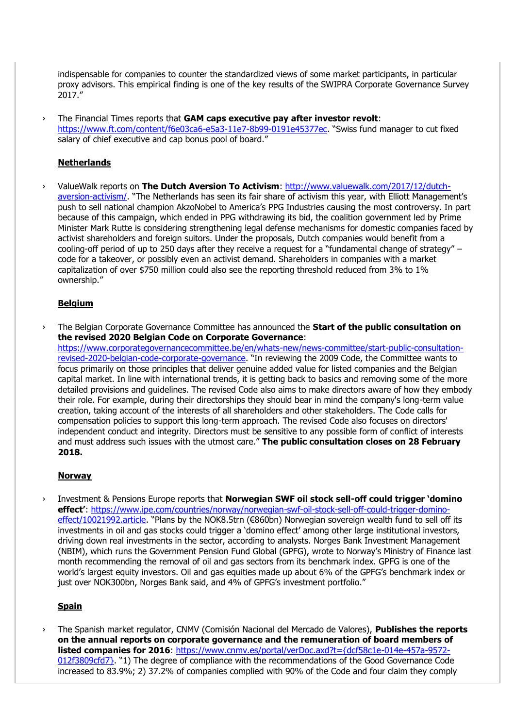indispensable for companies to counter the standardized views of some market participants, in particular proxy advisors. This empirical finding is one of the key results of the SWIPRA Corporate Governance Survey 2017."

› The Financial Times reports that **GAM caps executive pay after investor revolt**: <https://www.ft.com/content/f6e03ca6-e5a3-11e7-8b99-0191e45377ec>. "Swiss fund manager to cut fixed salary of chief executive and cap bonus pool of board."

#### **Netherlands**

› ValueWalk reports on **The Dutch Aversion To Activism**: [http://www.valuewalk.com/2017/12/dutch](http://www.valuewalk.com/2017/12/dutch-aversion-activism/)[aversion-activism/](http://www.valuewalk.com/2017/12/dutch-aversion-activism/). "The Netherlands has seen its fair share of activism this year, with Elliott Management's push to sell national champion AkzoNobel to America's PPG Industries causing the most controversy. In part because of this campaign, which ended in PPG withdrawing its bid, the coalition government led by Prime Minister Mark Rutte is considering strengthening legal defense mechanisms for domestic companies faced by activist shareholders and foreign suitors. Under the proposals, Dutch companies would benefit from a cooling-off period of up to 250 days after they receive a request for a "fundamental change of strategy" – code for a takeover, or possibly even an activist demand. Shareholders in companies with a market capitalization of over \$750 million could also see the reporting threshold reduced from 3% to 1% ownership."

#### **Belgium**

› The Belgian Corporate Governance Committee has announced the **Start of the public consultation on the revised 2020 Belgian Code on Corporate Governance**: [https://www.corporategovernancecommittee.be/en/whats-new/news-committee/start-public-consultation](https://www.corporategovernancecommittee.be/en/whats-new/news-committee/start-public-consultation-revised-2020-belgian-code-corporate-governance)[revised-2020-belgian-code-corporate-governance](https://www.corporategovernancecommittee.be/en/whats-new/news-committee/start-public-consultation-revised-2020-belgian-code-corporate-governance). "In reviewing the 2009 Code, the Committee wants to focus primarily on those principles that deliver genuine added value for listed companies and the Belgian capital market. In line with international trends, it is getting back to basics and removing some of the more detailed provisions and guidelines. The revised Code also aims to make directors aware of how they embody their role. For example, during their directorships they should bear in mind the company's long-term value creation, taking account of the interests of all shareholders and other stakeholders. The Code calls for compensation policies to support this long-term approach. The revised Code also focuses on directors' independent conduct and integrity. Directors must be sensitive to any possible form of conflict of interests

and must address such issues with the utmost care." **The public consultation closes on 28 February** 

# **2018.**

#### **Norway**

› Investment & Pensions Europe reports that **Norwegian SWF oil stock sell-off could trigger 'domino effect'**: [https://www.ipe.com/countries/norway/norwegian-swf-oil-stock-sell-off-could-trigger-domino](https://www.ipe.com/countries/norway/norwegian-swf-oil-stock-sell-off-could-trigger-domino-effect/10021992.article)[effect/10021992.article](https://www.ipe.com/countries/norway/norwegian-swf-oil-stock-sell-off-could-trigger-domino-effect/10021992.article). "Plans by the NOK8.5trn (€860bn) Norwegian sovereign wealth fund to sell off its investments in oil and gas stocks could trigger a 'domino effect' among other large institutional investors, driving down real investments in the sector, according to analysts. Norges Bank Investment Management (NBIM), which runs the Government Pension Fund Global (GPFG), wrote to Norway's Ministry of Finance last month recommending the removal of oil and gas sectors from its benchmark index. GPFG is one of the world's largest equity investors. Oil and gas equities made up about 6% of the GPFG's benchmark index or just over NOK300bn, Norges Bank said, and 4% of GPFG's investment portfolio."

#### **Spain**

› The Spanish market regulator, CNMV (Comisión Nacional del Mercado de Valores), **Publishes the reports on the annual reports on corporate governance and the remuneration of board members of listed companies for 2016**: [https://www.cnmv.es/portal/verDoc.axd?t={dcf58c1e-014e-457a-9572-](https://www.cnmv.es/portal/verDoc.axd?t=%7bdcf58c1e-014e-457a-9572-012f3809cfd7%7d) [012f3809cfd7}](https://www.cnmv.es/portal/verDoc.axd?t=%7bdcf58c1e-014e-457a-9572-012f3809cfd7%7d). "1) The degree of compliance with the recommendations of the Good Governance Code increased to 83.9%; 2) 37.2% of companies complied with 90% of the Code and four claim they comply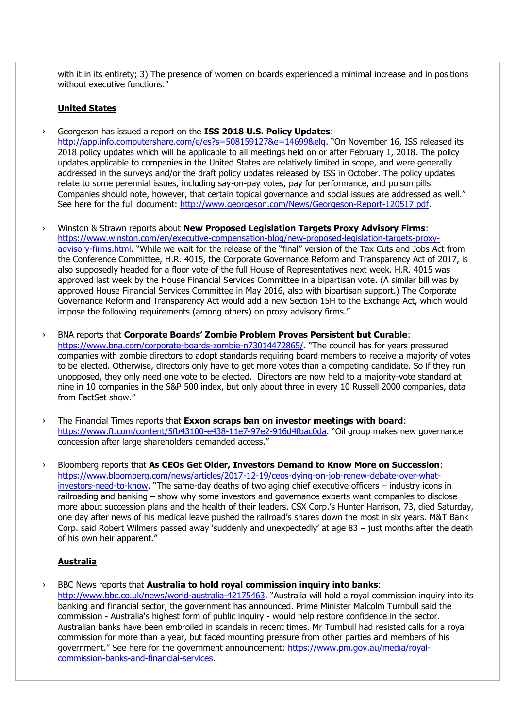with it in its entirety; 3) The presence of women on boards experienced a minimal increase and in positions without executive functions."

#### **United States**

› Georgeson has issued a report on the **ISS 2018 U.S. Policy Updates**:

<http://app.info.computershare.com/e/es?s=508159127&e=14699&elq>. "On November 16, ISS released its 2018 policy updates which will be applicable to all meetings held on or after February 1, 2018. The policy updates applicable to companies in the United States are relatively limited in scope, and were generally addressed in the surveys and/or the draft policy updates released by ISS in October. The policy updates relate to some perennial issues, including say-on-pay votes, pay for performance, and poison pills. Companies should note, however, that certain topical governance and social issues are addressed as well." See here for the full document: [http://www.georgeson.com/News/Georgeson-Report-120517.pdf.](http://www.georgeson.com/News/Georgeson-Report-120517.pdf)

- › Winston & Strawn reports about **New Proposed Legislation Targets Proxy Advisory Firms**: [https://www.winston.com/en/executive-compensation-blog/new-proposed-legislation-targets-proxy](https://www.winston.com/en/executive-compensation-blog/new-proposed-legislation-targets-proxy-advisory-firms.html)[advisory-firms.html](https://www.winston.com/en/executive-compensation-blog/new-proposed-legislation-targets-proxy-advisory-firms.html). "While we wait for the release of the "final" version of the Tax Cuts and Jobs Act from the Conference Committee, H.R. 4015, the Corporate Governance Reform and Transparency Act of 2017, is also supposedly headed for a floor vote of the full House of Representatives next week. H.R. 4015 was approved last week by the House Financial Services Committee in a bipartisan vote. (A similar bill was by approved House Financial Services Committee in May 2016, also with bipartisan support.) The Corporate Governance Reform and Transparency Act would add a new Section 15H to the Exchange Act, which would impose the following requirements (among others) on proxy advisory firms."
- › BNA reports that **Corporate Boards' Zombie Problem Proves Persistent but Curable**: <https://www.bna.com/corporate-boards-zombie-n73014472865/>. "The council has for years pressured companies with zombie directors to adopt standards requiring board members to receive a majority of votes to be elected. Otherwise, directors only have to get more votes than a competing candidate. So if they run unopposed, they only need one vote to be elected. Directors are now held to a majority-vote standard at nine in 10 companies in the S&P 500 index, but only about three in every 10 Russell 2000 companies, data from FactSet show."
- › The Financial Times reports that **Exxon scraps ban on investor meetings with board**: [https://www.ft.com/content/5fb43100-e438-11e7-97e2-916d4fbac0da.](https://www.ft.com/content/5fb43100-e438-11e7-97e2-916d4fbac0da) "Oil group makes new governance concession after large shareholders demanded access."
- › Bloomberg reports that **As CEOs Get Older, Investors Demand to Know More on Succession**: [https://www.bloomberg.com/news/articles/2017-12-19/ceos-dying-on-job-renew-debate-over-what](https://www.bloomberg.com/news/articles/2017-12-19/ceos-dying-on-job-renew-debate-over-what-investors-need-to-know)[investors-need-to-know](https://www.bloomberg.com/news/articles/2017-12-19/ceos-dying-on-job-renew-debate-over-what-investors-need-to-know). "The same-day deaths of two aging chief executive officers – industry icons in railroading and banking – show why some investors and governance experts want companies to disclose more about succession plans and the health of their leaders. CSX Corp.'s Hunter Harrison, 73, died Saturday, one day after news of his medical leave pushed the railroad's shares down the most in six years. M&T Bank Corp. said Robert Wilmers passed away 'suddenly and unexpectedly' at age 83 – just months after the death of his own heir apparent."

#### **Australia**

› BBC News reports that **Australia to hold royal commission inquiry into banks**:

<http://www.bbc.co.uk/news/world-australia-42175463>. "Australia will hold a royal commission inquiry into its banking and financial sector, the government has announced. Prime Minister Malcolm Turnbull said the commission - Australia's highest form of public inquiry - would help restore confidence in the sector. Australian banks have been embroiled in scandals in recent times. Mr Turnbull had resisted calls for a royal commission for more than a year, but faced mounting pressure from other parties and members of his government." See here for the government announcement: [https://www.pm.gov.au/media/royal](https://www.pm.gov.au/media/royal-commission-banks-and-financial-services)[commission-banks-and-financial-services.](https://www.pm.gov.au/media/royal-commission-banks-and-financial-services)